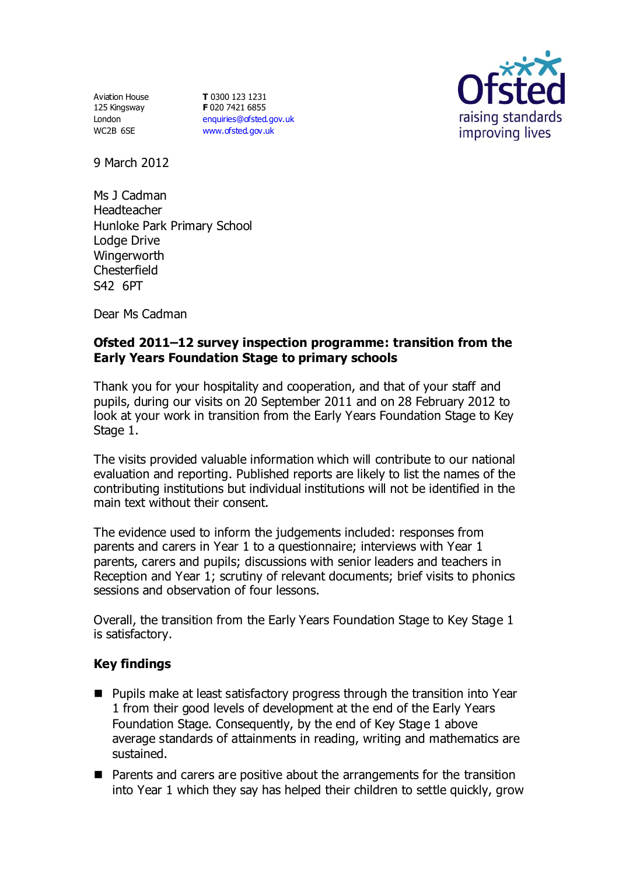Aviation House 125 Kingsway London WC2B 6SE

**T** 0300 123 1231 **F** 020 7421 6855 [enquiries@ofsted.gov.uk](mailto:enquiries@ofsted.gov.uk) [www.ofsted.gov.uk](http://www.ofsted.gov.uk/)



9 March 2012

Ms J Cadman Headteacher Hunloke Park Primary School Lodge Drive **Wingerworth Chesterfield** S42 6PT

Dear Ms Cadman

## **Ofsted 2011–12 survey inspection programme: transition from the Early Years Foundation Stage to primary schools**

Thank you for your hospitality and cooperation, and that of your staff and pupils, during our visits on 20 September 2011 and on 28 February 2012 to look at your work in transition from the Early Years Foundation Stage to Key Stage 1.

The visits provided valuable information which will contribute to our national evaluation and reporting. Published reports are likely to list the names of the contributing institutions but individual institutions will not be identified in the main text without their consent.

The evidence used to inform the judgements included: responses from parents and carers in Year 1 to a questionnaire; interviews with Year 1 parents, carers and pupils; discussions with senior leaders and teachers in Reception and Year 1; scrutiny of relevant documents; brief visits to phonics sessions and observation of four lessons.

Overall, the transition from the Early Years Foundation Stage to Key Stage 1 is satisfactory.

## **Key findings**

- **Pupils make at least satisfactory progress through the transition into Year** 1 from their good levels of development at the end of the Early Years Foundation Stage. Consequently, by the end of Key Stage 1 above average standards of attainments in reading, writing and mathematics are sustained.
- Parents and carers are positive about the arrangements for the transition into Year 1 which they say has helped their children to settle quickly, grow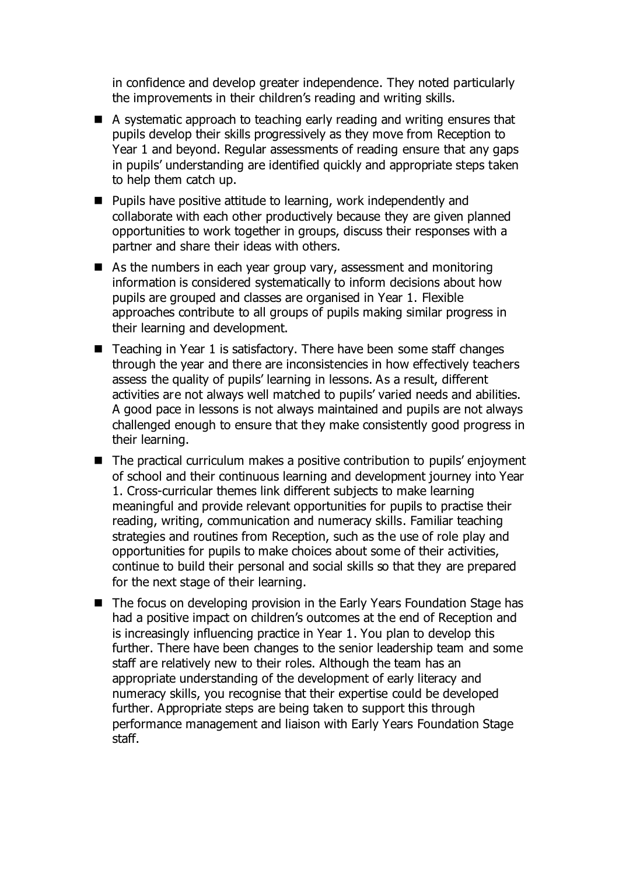in confidence and develop greater independence. They noted particularly the improvements in their children's reading and writing skills.

- A systematic approach to teaching early reading and writing ensures that pupils develop their skills progressively as they move from Reception to Year 1 and beyond. Regular assessments of reading ensure that any gaps in pupils' understanding are identified quickly and appropriate steps taken to help them catch up.
- Pupils have positive attitude to learning, work independently and collaborate with each other productively because they are given planned opportunities to work together in groups, discuss their responses with a partner and share their ideas with others.
- As the numbers in each year group vary, assessment and monitoring information is considered systematically to inform decisions about how pupils are grouped and classes are organised in Year 1. Flexible approaches contribute to all groups of pupils making similar progress in their learning and development.
- Teaching in Year 1 is satisfactory. There have been some staff changes through the year and there are inconsistencies in how effectively teachers assess the quality of pupils' learning in lessons. As a result, different activities are not always well matched to pupils' varied needs and abilities. A good pace in lessons is not always maintained and pupils are not always challenged enough to ensure that they make consistently good progress in their learning.
- The practical curriculum makes a positive contribution to pupils' enjoyment of school and their continuous learning and development journey into Year 1. Cross-curricular themes link different subjects to make learning meaningful and provide relevant opportunities for pupils to practise their reading, writing, communication and numeracy skills. Familiar teaching strategies and routines from Reception, such as the use of role play and opportunities for pupils to make choices about some of their activities, continue to build their personal and social skills so that they are prepared for the next stage of their learning.
- The focus on developing provision in the Early Years Foundation Stage has had a positive impact on children's outcomes at the end of Reception and is increasingly influencing practice in Year 1. You plan to develop this further. There have been changes to the senior leadership team and some staff are relatively new to their roles. Although the team has an appropriate understanding of the development of early literacy and numeracy skills, you recognise that their expertise could be developed further. Appropriate steps are being taken to support this through performance management and liaison with Early Years Foundation Stage staff.